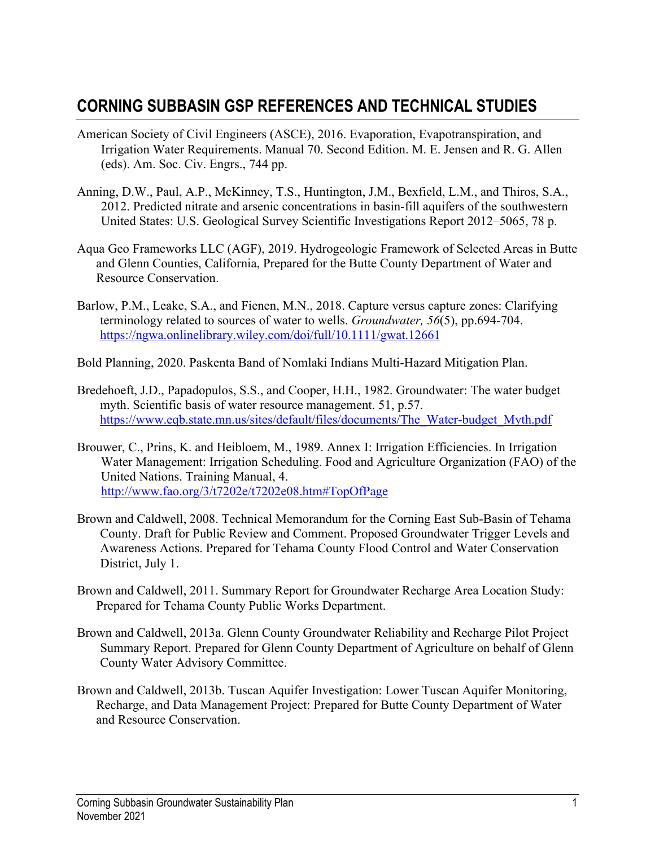## **CORNING SUBBASIN GSP REFERENCES AND TECHNICAL STUDIES**

- American Society of Civil Engineers (ASCE), 2016. Evaporation, Evapotranspiration, and Irrigation Water Requirements. Manual 70. Second Edition. M. E. Jensen and R. G. Allen (eds). Am. Soc. Civ. Engrs., 744 pp.
- Anning, D.W., Paul, A.P., McKinney, T.S., Huntington, J.M., Bexfield, L.M., and Thiros, S.A., 2012. Predicted nitrate and arsenic concentrations in basin-fill aquifers of the southwestern United States: U.S. Geological Survey Scientific Investigations Report 2012–5065, 78 p.
- Aqua Geo Frameworks LLC (AGF), 2019. Hydrogeologic Framework of Selected Areas in Butte and Glenn Counties, California, Prepared for the Butte County Department of Water and Resource Conservation.
- Barlow, P.M., Leake, S.A., and Fienen, M.N., 2018. Capture versus capture zones: Clarifying terminology related to sources of water to wells. *Groundwater, 56*(5), pp.694-704. <https://ngwa.onlinelibrary.wiley.com/doi/full/10.1111/gwat.12661>
- Bold Planning, 2020. Paskenta Band of Nomlaki Indians Multi-Hazard Mitigation Plan.
- Bredehoeft, J.D., Papadopulos, S.S., and Cooper, H.H., 1982. Groundwater: The water budget myth. Scientific basis of water resource management. 51, p.57. [https://www.eqb.state.mn.us/sites/default/files/documents/The\\_Water-budget\\_Myth.pdf](https://www.eqb.state.mn.us/sites/default/files/documents/The_Water-budget_Myth.pdf)
- Brouwer, C., Prins, K. and Heibloem, M., 1989. Annex I: Irrigation Efficiencies. In Irrigation Water Management: Irrigation Scheduling. Food and Agriculture Organization (FAO) of the United Nations. Training Manual, 4. <http://www.fao.org/3/t7202e/t7202e08.htm#TopOfPage>
- Brown and Caldwell, 2008. Technical Memorandum for the Corning East Sub-Basin of Tehama County. Draft for Public Review and Comment. Proposed Groundwater Trigger Levels and Awareness Actions. Prepared for Tehama County Flood Control and Water Conservation District, July 1.
- Brown and Caldwell, 2011. Summary Report for Groundwater Recharge Area Location Study: Prepared for Tehama County Public Works Department.
- Brown and Caldwell, 2013a. Glenn County Groundwater Reliability and Recharge Pilot Project Summary Report. Prepared for Glenn County Department of Agriculture on behalf of Glenn County Water Advisory Committee.
- Brown and Caldwell, 2013b. Tuscan Aquifer Investigation: Lower Tuscan Aquifer Monitoring, Recharge, and Data Management Project: Prepared for Butte County Department of Water and Resource Conservation.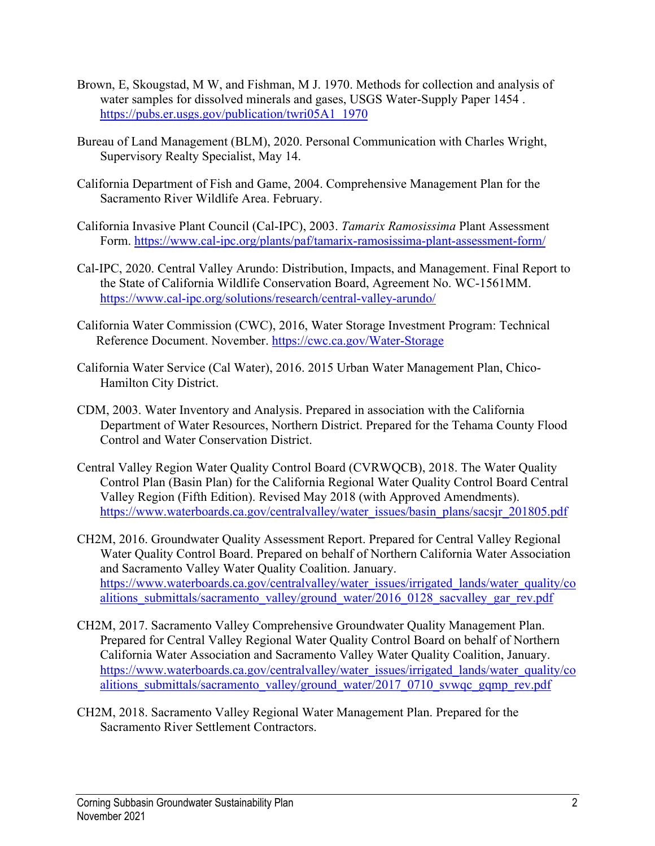- Brown, E, Skougstad, M W, and Fishman, M J. 1970. Methods for collection and analysis of water samples for dissolved minerals and gases, USGS Water-Supply Paper 1454 . [https://pubs.er.usgs.gov/publication/twri05A1\\_1970](https://pubs.er.usgs.gov/publication/twri05A1_1970)
- Bureau of Land Management (BLM), 2020. Personal Communication with Charles Wright, Supervisory Realty Specialist, May 14.
- California Department of Fish and Game, 2004. Comprehensive Management Plan for the Sacramento River Wildlife Area. February.
- California Invasive Plant Council (Cal-IPC), 2003. *Tamarix Ramosissima* Plant Assessment Form.<https://www.cal-ipc.org/plants/paf/tamarix-ramosissima-plant-assessment-form/>
- Cal-IPC, 2020. Central Valley Arundo: Distribution, Impacts, and Management. Final Report to the State of California Wildlife Conservation Board, Agreement No. WC-1561MM. <https://www.cal-ipc.org/solutions/research/central-valley-arundo/>
- California Water Commission (CWC), 2016, Water Storage Investment Program: Technical Reference Document. November.<https://cwc.ca.gov/Water-Storage>
- California Water Service (Cal Water), 2016. 2015 Urban Water Management Plan, Chico-Hamilton City District.
- CDM, 2003. Water Inventory and Analysis. Prepared in association with the California Department of Water Resources, Northern District. Prepared for the Tehama County Flood Control and Water Conservation District.
- Central Valley Region Water Quality Control Board (CVRWQCB), 2018. The Water Quality Control Plan (Basin Plan) for the California Regional Water Quality Control Board Central Valley Region (Fifth Edition). Revised May 2018 (with Approved Amendments). [https://www.waterboards.ca.gov/centralvalley/water\\_issues/basin\\_plans/sacsjr\\_201805.pdf](https://www.waterboards.ca.gov/centralvalley/water_issues/basin_plans/sacsjr_201805.pdf)
- CH2M, 2016. Groundwater Quality Assessment Report. Prepared for Central Valley Regional Water Quality Control Board. Prepared on behalf of Northern California Water Association and Sacramento Valley Water Quality Coalition. January. [https://www.waterboards.ca.gov/centralvalley/water\\_issues/irrigated\\_lands/water\\_quality/co](https://www.waterboards.ca.gov/centralvalley/water_issues/irrigated_lands/water_quality/coalitions_submittals/sacramento_valley/ground_water/2016_0128_sacvalley_gar_rev.pdf) alitions submittals/sacramento\_valley/ground\_water/2016\_0128\_sacvalley\_gar\_rev.pdf
- CH2M, 2017. Sacramento Valley Comprehensive Groundwater Quality Management Plan. Prepared for Central Valley Regional Water Quality Control Board on behalf of Northern California Water Association and Sacramento Valley Water Quality Coalition, January. [https://www.waterboards.ca.gov/centralvalley/water\\_issues/irrigated\\_lands/water\\_quality/co](https://www.waterboards.ca.gov/centralvalley/water_issues/irrigated_lands/water_quality/coalitions_submittals/sacramento_valley/ground_water/2017_0710_svwqc_gqmp_rev.pdf) [alitions\\_submittals/sacramento\\_valley/ground\\_water/2017\\_0710\\_svwqc\\_gqmp\\_rev.pdf](https://www.waterboards.ca.gov/centralvalley/water_issues/irrigated_lands/water_quality/coalitions_submittals/sacramento_valley/ground_water/2017_0710_svwqc_gqmp_rev.pdf)
- CH2M, 2018. Sacramento Valley Regional Water Management Plan. Prepared for the Sacramento River Settlement Contractors.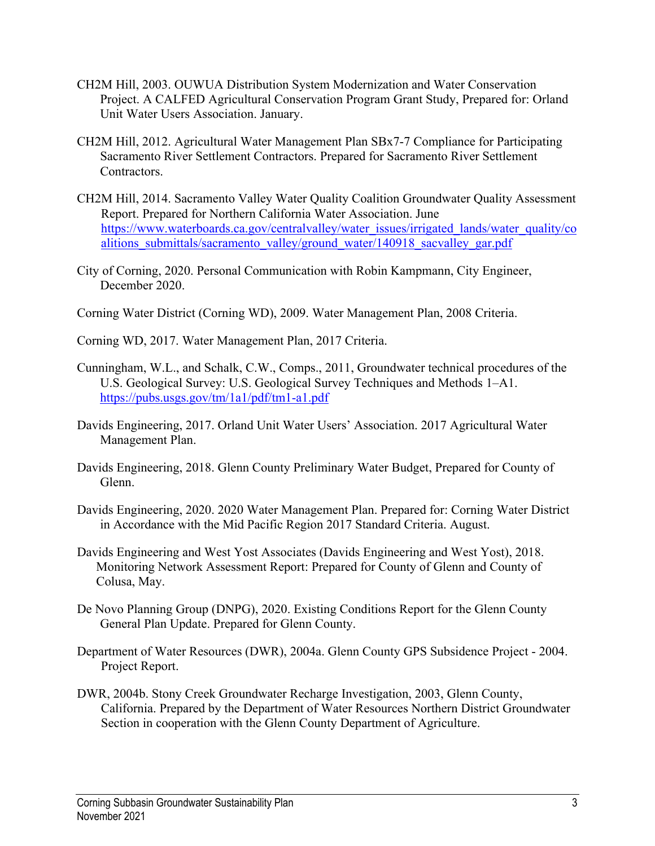- CH2M Hill, 2003. OUWUA Distribution System Modernization and Water Conservation Project. A CALFED Agricultural Conservation Program Grant Study, Prepared for: Orland Unit Water Users Association. January.
- CH2M Hill, 2012. Agricultural Water Management Plan SBx7-7 Compliance for Participating Sacramento River Settlement Contractors. Prepared for Sacramento River Settlement Contractors.
- CH2M Hill, 2014. Sacramento Valley Water Quality Coalition Groundwater Quality Assessment Report. Prepared for Northern California Water Association. June [https://www.waterboards.ca.gov/centralvalley/water\\_issues/irrigated\\_lands/water\\_quality/co](https://www.waterboards.ca.gov/centralvalley/water_issues/irrigated_lands/water_quality/coalitions_submittals/sacramento_valley/ground_water/140918_sacvalley_gar.pdf) [alitions\\_submittals/sacramento\\_valley/ground\\_water/140918\\_sacvalley\\_gar.pdf](https://www.waterboards.ca.gov/centralvalley/water_issues/irrigated_lands/water_quality/coalitions_submittals/sacramento_valley/ground_water/140918_sacvalley_gar.pdf)
- City of Corning, 2020. Personal Communication with Robin Kampmann, City Engineer, December 2020.
- Corning Water District (Corning WD), 2009. Water Management Plan, 2008 Criteria.
- Corning WD, 2017. Water Management Plan, 2017 Criteria.
- Cunningham, W.L., and Schalk, C.W., Comps., 2011, Groundwater technical procedures of the U.S. Geological Survey: U.S. Geological Survey Techniques and Methods 1–A1. <https://pubs.usgs.gov/tm/1a1/pdf/tm1-a1.pdf>
- Davids Engineering, 2017. Orland Unit Water Users' Association. 2017 Agricultural Water Management Plan.
- Davids Engineering, 2018. Glenn County Preliminary Water Budget, Prepared for County of Glenn.
- Davids Engineering, 2020. 2020 Water Management Plan. Prepared for: Corning Water District in Accordance with the Mid Pacific Region 2017 Standard Criteria. August.
- Davids Engineering and West Yost Associates (Davids Engineering and West Yost), 2018. Monitoring Network Assessment Report: Prepared for County of Glenn and County of Colusa, May.
- De Novo Planning Group (DNPG), 2020. Existing Conditions Report for the Glenn County General Plan Update. Prepared for Glenn County.
- Department of Water Resources (DWR), 2004a. Glenn County GPS Subsidence Project 2004. Project Report.
- DWR, 2004b. Stony Creek Groundwater Recharge Investigation, 2003, Glenn County, California. Prepared by the Department of Water Resources Northern District Groundwater Section in cooperation with the Glenn County Department of Agriculture.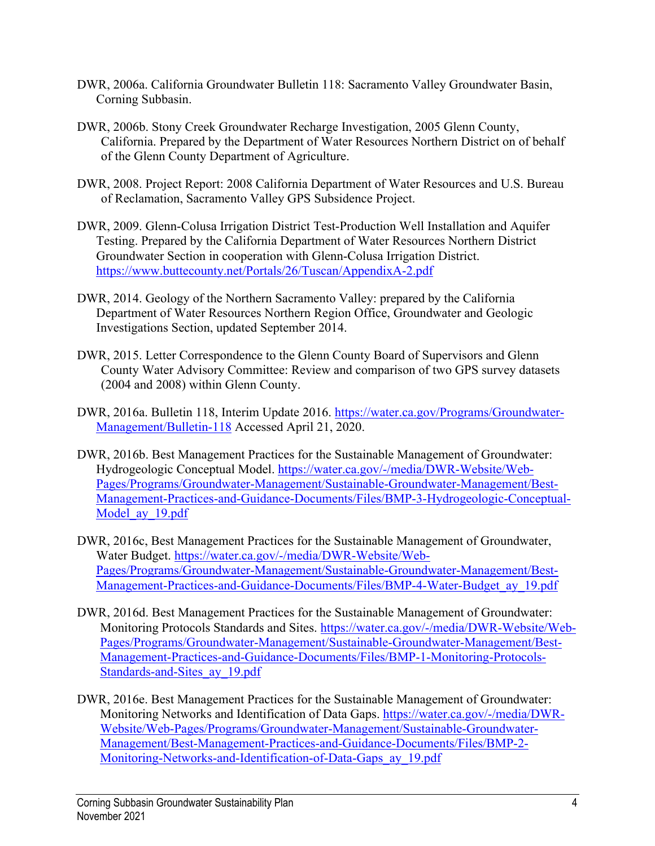- DWR, 2006a. California Groundwater Bulletin 118: Sacramento Valley Groundwater Basin, Corning Subbasin.
- DWR, 2006b. Stony Creek Groundwater Recharge Investigation, 2005 Glenn County, California. Prepared by the Department of Water Resources Northern District on of behalf of the Glenn County Department of Agriculture.
- DWR, 2008. Project Report: 2008 California Department of Water Resources and U.S. Bureau of Reclamation, Sacramento Valley GPS Subsidence Project.
- DWR, 2009. Glenn-Colusa Irrigation District Test-Production Well Installation and Aquifer Testing. Prepared by the California Department of Water Resources Northern District Groundwater Section in cooperation with Glenn-Colusa Irrigation District. <https://www.buttecounty.net/Portals/26/Tuscan/AppendixA-2.pdf>
- DWR, 2014. Geology of the Northern Sacramento Valley: prepared by the California Department of Water Resources Northern Region Office, Groundwater and Geologic Investigations Section, updated September 2014.
- DWR, 2015. Letter Correspondence to the Glenn County Board of Supervisors and Glenn County Water Advisory Committee: Review and comparison of two GPS survey datasets (2004 and 2008) within Glenn County.
- DWR, 2016a. Bulletin 118, Interim Update 2016. [https://water.ca.gov/Programs/Groundwater-](https://water.ca.gov/Programs/Groundwater-Management/Bulletin-118)[Management/Bulletin-118](https://water.ca.gov/Programs/Groundwater-Management/Bulletin-118) Accessed April 21, 2020.
- DWR, 2016b. Best Management Practices for the Sustainable Management of Groundwater: Hydrogeologic Conceptual Model. [https://water.ca.gov/-/media/DWR-Website/Web-](https://water.ca.gov/-/media/DWR-Website/Web-Pages/Programs/Groundwater-Management/Sustainable-Groundwater-Management/Best-Management-Practices-and-Guidance-Documents/Files/BMP-3-Hydrogeologic-Conceptual-Model_ay_19.pdf)[Pages/Programs/Groundwater-Management/Sustainable-Groundwater-Management/Best-](https://water.ca.gov/-/media/DWR-Website/Web-Pages/Programs/Groundwater-Management/Sustainable-Groundwater-Management/Best-Management-Practices-and-Guidance-Documents/Files/BMP-3-Hydrogeologic-Conceptual-Model_ay_19.pdf)[Management-Practices-and-Guidance-Documents/Files/BMP-3-Hydrogeologic-Conceptual-](https://water.ca.gov/-/media/DWR-Website/Web-Pages/Programs/Groundwater-Management/Sustainable-Groundwater-Management/Best-Management-Practices-and-Guidance-Documents/Files/BMP-3-Hydrogeologic-Conceptual-Model_ay_19.pdf)Model ay 19.pdf
- DWR, 2016c, Best Management Practices for the Sustainable Management of Groundwater, Water Budget. [https://water.ca.gov/-/media/DWR-Website/Web-](https://water.ca.gov/-/media/DWR-Website/Web-Pages/Programs/Groundwater-Management/Sustainable-Groundwater-Management/Best-Management-Practices-and-Guidance-Documents/Files/BMP-4-Water-Budget_ay_19.pdf)[Pages/Programs/Groundwater-Management/Sustainable-Groundwater-Management/Best-](https://water.ca.gov/-/media/DWR-Website/Web-Pages/Programs/Groundwater-Management/Sustainable-Groundwater-Management/Best-Management-Practices-and-Guidance-Documents/Files/BMP-4-Water-Budget_ay_19.pdf)[Management-Practices-and-Guidance-Documents/Files/BMP-4-Water-Budget\\_ay\\_19.pdf](https://water.ca.gov/-/media/DWR-Website/Web-Pages/Programs/Groundwater-Management/Sustainable-Groundwater-Management/Best-Management-Practices-and-Guidance-Documents/Files/BMP-4-Water-Budget_ay_19.pdf)
- DWR, 2016d. Best Management Practices for the Sustainable Management of Groundwater: Monitoring Protocols Standards and Sites. [https://water.ca.gov/-/media/DWR-Website/Web-](https://water.ca.gov/-/media/DWR-Website/Web-Pages/Programs/Groundwater-Management/Sustainable-Groundwater-Management/Best-Management-Practices-and-Guidance-Documents/Files/BMP-1-Monitoring-Protocols-Standards-and-Sites_ay_19.pdf)[Pages/Programs/Groundwater-Management/Sustainable-Groundwater-Management/Best-](https://water.ca.gov/-/media/DWR-Website/Web-Pages/Programs/Groundwater-Management/Sustainable-Groundwater-Management/Best-Management-Practices-and-Guidance-Documents/Files/BMP-1-Monitoring-Protocols-Standards-and-Sites_ay_19.pdf)[Management-Practices-and-Guidance-Documents/Files/BMP-1-Monitoring-Protocols-](https://water.ca.gov/-/media/DWR-Website/Web-Pages/Programs/Groundwater-Management/Sustainable-Groundwater-Management/Best-Management-Practices-and-Guidance-Documents/Files/BMP-1-Monitoring-Protocols-Standards-and-Sites_ay_19.pdf)[Standards-and-Sites\\_ay\\_19.pdf](https://water.ca.gov/-/media/DWR-Website/Web-Pages/Programs/Groundwater-Management/Sustainable-Groundwater-Management/Best-Management-Practices-and-Guidance-Documents/Files/BMP-1-Monitoring-Protocols-Standards-and-Sites_ay_19.pdf)
- DWR, 2016e. Best Management Practices for the Sustainable Management of Groundwater: Monitoring Networks and Identification of Data Gaps. [https://water.ca.gov/-/media/DWR-](https://water.ca.gov/-/media/DWR-Website/Web-Pages/Programs/Groundwater-Management/Sustainable-Groundwater-Management/Best-Management-Practices-and-Guidance-Documents/Files/BMP-2-Monitoring-Networks-and-Identification-of-Data-Gaps_ay_19.pdf)[Website/Web-Pages/Programs/Groundwater-Management/Sustainable-Groundwater-](https://water.ca.gov/-/media/DWR-Website/Web-Pages/Programs/Groundwater-Management/Sustainable-Groundwater-Management/Best-Management-Practices-and-Guidance-Documents/Files/BMP-2-Monitoring-Networks-and-Identification-of-Data-Gaps_ay_19.pdf)[Management/Best-Management-Practices-and-Guidance-Documents/Files/BMP-2-](https://water.ca.gov/-/media/DWR-Website/Web-Pages/Programs/Groundwater-Management/Sustainable-Groundwater-Management/Best-Management-Practices-and-Guidance-Documents/Files/BMP-2-Monitoring-Networks-and-Identification-of-Data-Gaps_ay_19.pdf) [Monitoring-Networks-and-Identification-of-Data-Gaps\\_ay\\_19.pdf](https://water.ca.gov/-/media/DWR-Website/Web-Pages/Programs/Groundwater-Management/Sustainable-Groundwater-Management/Best-Management-Practices-and-Guidance-Documents/Files/BMP-2-Monitoring-Networks-and-Identification-of-Data-Gaps_ay_19.pdf)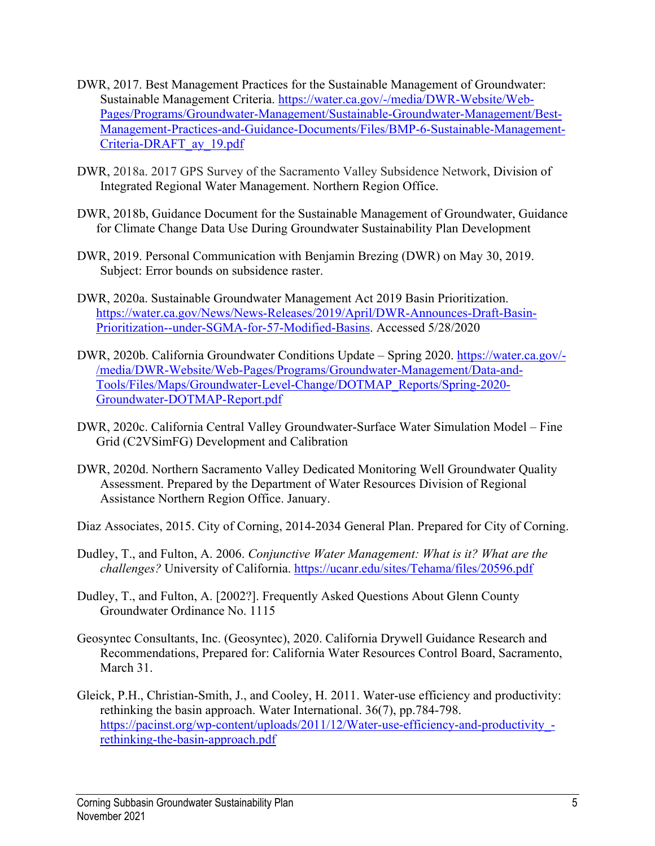- DWR, 2017. Best Management Practices for the Sustainable Management of Groundwater: Sustainable Management Criteria. [https://water.ca.gov/-/media/DWR-Website/Web-](https://water.ca.gov/-/media/DWR-Website/Web-Pages/Programs/Groundwater-Management/Sustainable-Groundwater-Management/Best-Management-Practices-and-Guidance-Documents/Files/BMP-6-Sustainable-Management-Criteria-DRAFT_ay_19.pdf)[Pages/Programs/Groundwater-Management/Sustainable-Groundwater-Management/Best-](https://water.ca.gov/-/media/DWR-Website/Web-Pages/Programs/Groundwater-Management/Sustainable-Groundwater-Management/Best-Management-Practices-and-Guidance-Documents/Files/BMP-6-Sustainable-Management-Criteria-DRAFT_ay_19.pdf)[Management-Practices-and-Guidance-Documents/Files/BMP-6-Sustainable-Management-](https://water.ca.gov/-/media/DWR-Website/Web-Pages/Programs/Groundwater-Management/Sustainable-Groundwater-Management/Best-Management-Practices-and-Guidance-Documents/Files/BMP-6-Sustainable-Management-Criteria-DRAFT_ay_19.pdf)[Criteria-DRAFT\\_ay\\_19.pdf](https://water.ca.gov/-/media/DWR-Website/Web-Pages/Programs/Groundwater-Management/Sustainable-Groundwater-Management/Best-Management-Practices-and-Guidance-Documents/Files/BMP-6-Sustainable-Management-Criteria-DRAFT_ay_19.pdf)
- DWR, 2018a. 2017 GPS Survey of the Sacramento Valley Subsidence Network, Division of Integrated Regional Water Management. Northern Region Office.
- DWR, 2018b, Guidance Document for the Sustainable Management of Groundwater, Guidance for Climate Change Data Use During Groundwater Sustainability Plan Development
- DWR, 2019. Personal Communication with Benjamin Brezing (DWR) on May 30, 2019. Subject: Error bounds on subsidence raster.
- DWR, 2020a. Sustainable Groundwater Management Act 2019 Basin Prioritization. [https://water.ca.gov/News/News-Releases/2019/April/DWR-Announces-Draft-Basin-](https://water.ca.gov/News/News-Releases/2019/April/DWR-Announces-Draft-Basin-Prioritization--under-SGMA-for-57-Modified-Basins)[Prioritization--under-SGMA-for-57-Modified-Basins.](https://water.ca.gov/News/News-Releases/2019/April/DWR-Announces-Draft-Basin-Prioritization--under-SGMA-for-57-Modified-Basins) Accessed 5/28/2020
- DWR, 2020b. California Groundwater Conditions Update Spring 2020. [https://water.ca.gov/-](https://water.ca.gov/-/media/DWR-Website/Web-Pages/Programs/Groundwater-Management/Data-and-Tools/Files/Maps/Groundwater-Level-Change/DOTMAP_Reports/Spring-2020-Groundwater-DOTMAP-Report.pdf) [/media/DWR-Website/Web-Pages/Programs/Groundwater-Management/Data-and-](https://water.ca.gov/-/media/DWR-Website/Web-Pages/Programs/Groundwater-Management/Data-and-Tools/Files/Maps/Groundwater-Level-Change/DOTMAP_Reports/Spring-2020-Groundwater-DOTMAP-Report.pdf)[Tools/Files/Maps/Groundwater-Level-Change/DOTMAP\\_Reports/Spring-2020-](https://water.ca.gov/-/media/DWR-Website/Web-Pages/Programs/Groundwater-Management/Data-and-Tools/Files/Maps/Groundwater-Level-Change/DOTMAP_Reports/Spring-2020-Groundwater-DOTMAP-Report.pdf) [Groundwater-DOTMAP-Report.pdf](https://water.ca.gov/-/media/DWR-Website/Web-Pages/Programs/Groundwater-Management/Data-and-Tools/Files/Maps/Groundwater-Level-Change/DOTMAP_Reports/Spring-2020-Groundwater-DOTMAP-Report.pdf)
- DWR, 2020c. California Central Valley Groundwater-Surface Water Simulation Model Fine Grid (C2VSimFG) Development and Calibration
- DWR, 2020d. Northern Sacramento Valley Dedicated Monitoring Well Groundwater Quality Assessment. Prepared by the Department of Water Resources Division of Regional Assistance Northern Region Office. January.
- Diaz Associates, 2015. City of Corning, 2014-2034 General Plan. Prepared for City of Corning.
- Dudley, T., and Fulton, A. 2006. *Conjunctive Water Management: What is it? What are the challenges?* University of California.<https://ucanr.edu/sites/Tehama/files/20596.pdf>
- Dudley, T., and Fulton, A. [2002?]. Frequently Asked Questions About Glenn County Groundwater Ordinance No. 1115
- Geosyntec Consultants, Inc. (Geosyntec), 2020. California Drywell Guidance Research and Recommendations, Prepared for: California Water Resources Control Board, Sacramento, March 31.
- Gleick, P.H., Christian-Smith, J., and Cooley, H. 2011. Water-use efficiency and productivity: rethinking the basin approach. Water International. 36(7), pp.784-798. https://pacinst.org/wp-content/uploads/2011/12/Water-use-efficiency-and-productivity[rethinking-the-basin-approach.pdf](https://pacinst.org/wp-content/uploads/2011/12/Water-use-efficiency-and-productivity_-rethinking-the-basin-approach.pdf)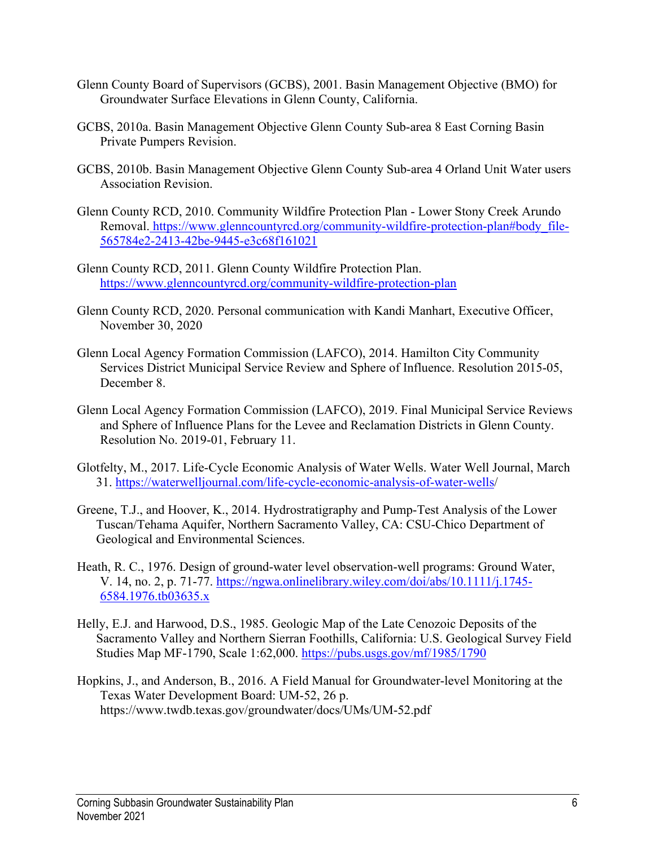- Glenn County Board of Supervisors (GCBS), 2001. Basin Management Objective (BMO) for Groundwater Surface Elevations in Glenn County, California.
- GCBS, 2010a. Basin Management Objective Glenn County Sub-area 8 East Corning Basin Private Pumpers Revision.
- GCBS, 2010b. Basin Management Objective Glenn County Sub-area 4 Orland Unit Water users Association Revision.
- Glenn County RCD, 2010. Community Wildfire Protection Plan Lower Stony Creek Arundo Removal. https://www.glenncountyrcd.org/community-wildfire-protection-plan#body file-[565784e2-2413-42be-9445-e3c68f161021](https://www.glenncountyrcd.org/community-wildfire-protection-plan#body_file-565784e2-2413-42be-9445-e3c68f161021)
- Glenn County RCD, 2011. Glenn County Wildfire Protection Plan. <https://www.glenncountyrcd.org/community-wildfire-protection-plan>
- Glenn County RCD, 2020. Personal communication with Kandi Manhart, Executive Officer, November 30, 2020
- Glenn Local Agency Formation Commission (LAFCO), 2014. Hamilton City Community Services District Municipal Service Review and Sphere of Influence. Resolution 2015-05, December 8.
- Glenn Local Agency Formation Commission (LAFCO), 2019. Final Municipal Service Reviews and Sphere of Influence Plans for the Levee and Reclamation Districts in Glenn County. Resolution No. 2019-01, February 11.
- Glotfelty, M., 2017. Life-Cycle Economic Analysis of Water Wells. Water Well Journal, March 31. [https://waterwelljournal.com/life-cycle-economic-analysis-of-water-wells/](https://waterwelljournal.com/life-cycle-economic-analysis-of-water-wells)
- Greene, T.J., and Hoover, K., 2014. Hydrostratigraphy and Pump-Test Analysis of the Lower Tuscan/Tehama Aquifer, Northern Sacramento Valley, CA: CSU-Chico Department of Geological and Environmental Sciences.
- Heath, R. C., 1976. Design of ground-water level observation-well programs: Ground Water, V. 14, no. 2, p. 71-77. [https://ngwa.onlinelibrary.wiley.com/doi/abs/10.1111/j.1745-](https://ngwa.onlinelibrary.wiley.com/doi/abs/10.1111/j.1745-6584.1976.tb03635.x) [6584.1976.tb03635.x](https://ngwa.onlinelibrary.wiley.com/doi/abs/10.1111/j.1745-6584.1976.tb03635.x)
- Helly, E.J. and Harwood, D.S., 1985. Geologic Map of the Late Cenozoic Deposits of the Sacramento Valley and Northern Sierran Foothills, California: U.S. Geological Survey Field Studies Map MF-1790, Scale 1:62,000.<https://pubs.usgs.gov/mf/1985/1790>
- Hopkins, J., and Anderson, B., 2016. A Field Manual for Groundwater-level Monitoring at the Texas Water Development Board: UM-52, 26 p. https://www.twdb.texas.gov/groundwater/docs/UMs/UM-52.pdf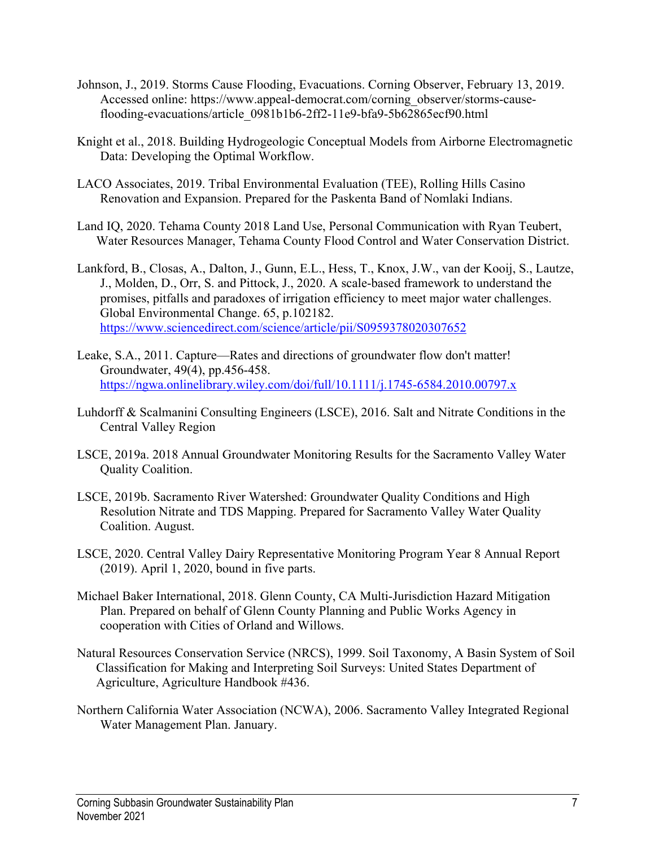- Johnson, J., 2019. Storms Cause Flooding, Evacuations. Corning Observer, February 13, 2019. Accessed online: https://www.appeal-democrat.com/corning\_observer/storms-causeflooding-evacuations/article\_0981b1b6-2ff2-11e9-bfa9-5b62865ecf90.html
- Knight et al., 2018. Building Hydrogeologic Conceptual Models from Airborne Electromagnetic Data: Developing the Optimal Workflow.
- LACO Associates, 2019. Tribal Environmental Evaluation (TEE), Rolling Hills Casino Renovation and Expansion. Prepared for the Paskenta Band of Nomlaki Indians.
- Land IQ, 2020. Tehama County 2018 Land Use, Personal Communication with Ryan Teubert, Water Resources Manager, Tehama County Flood Control and Water Conservation District.
- Lankford, B., Closas, A., Dalton, J., Gunn, E.L., Hess, T., Knox, J.W., van der Kooij, S., Lautze, J., Molden, D., Orr, S. and Pittock, J., 2020. A scale-based framework to understand the promises, pitfalls and paradoxes of irrigation efficiency to meet major water challenges. Global Environmental Change. 65, p.102182. <https://www.sciencedirect.com/science/article/pii/S0959378020307652>
- Leake, S.A., 2011. Capture—Rates and directions of groundwater flow don't matter! Groundwater, 49(4), pp.456-458. <https://ngwa.onlinelibrary.wiley.com/doi/full/10.1111/j.1745-6584.2010.00797.x>
- Luhdorff & Scalmanini Consulting Engineers (LSCE), 2016. Salt and Nitrate Conditions in the Central Valley Region
- LSCE, 2019a. 2018 Annual Groundwater Monitoring Results for the Sacramento Valley Water Quality Coalition.
- LSCE, 2019b. Sacramento River Watershed: Groundwater Quality Conditions and High Resolution Nitrate and TDS Mapping. Prepared for Sacramento Valley Water Quality Coalition. August.
- LSCE, 2020. Central Valley Dairy Representative Monitoring Program Year 8 Annual Report (2019). April 1, 2020, bound in five parts.
- Michael Baker International, 2018. Glenn County, CA Multi-Jurisdiction Hazard Mitigation Plan. Prepared on behalf of Glenn County Planning and Public Works Agency in cooperation with Cities of Orland and Willows.
- Natural Resources Conservation Service (NRCS), 1999. Soil Taxonomy, A Basin System of Soil Classification for Making and Interpreting Soil Surveys: United States Department of Agriculture, Agriculture Handbook #436.
- Northern California Water Association (NCWA), 2006. Sacramento Valley Integrated Regional Water Management Plan. January.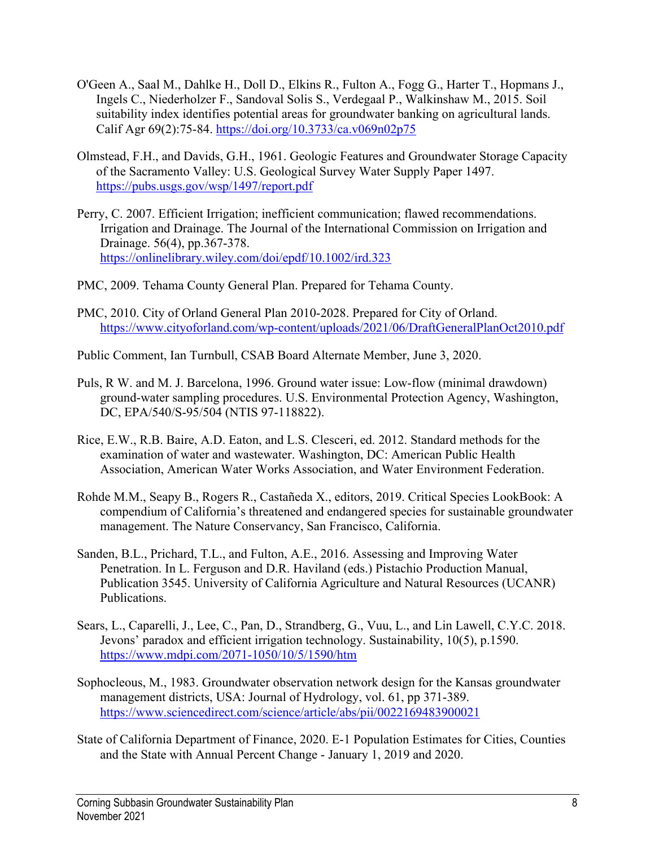- O'Geen A., Saal M., Dahlke H., Doll D., Elkins R., Fulton A., Fogg G., Harter T., Hopmans J., Ingels C., Niederholzer F., Sandoval Solis S., Verdegaal P., Walkinshaw M., 2015. Soil suitability index identifies potential areas for groundwater banking on agricultural lands. Calif Agr 69(2):75-84.<https://doi.org/10.3733/ca.v069n02p75>
- Olmstead, F.H., and Davids, G.H., 1961. Geologic Features and Groundwater Storage Capacity of the Sacramento Valley: U.S. Geological Survey Water Supply Paper 1497. <https://pubs.usgs.gov/wsp/1497/report.pdf>
- Perry, C. 2007. Efficient Irrigation; inefficient communication; flawed recommendations. Irrigation and Drainage. The Journal of the International Commission on Irrigation and Drainage. 56(4), pp.367-378. <https://onlinelibrary.wiley.com/doi/epdf/10.1002/ird.323>
- PMC, 2009. Tehama County General Plan. Prepared for Tehama County.
- PMC, 2010. City of Orland General Plan 2010-2028. Prepared for City of Orland. <https://www.cityoforland.com/wp-content/uploads/2021/06/DraftGeneralPlanOct2010.pdf>
- Public Comment, Ian Turnbull, CSAB Board Alternate Member, June 3, 2020.
- Puls, R W. and M. J. Barcelona, 1996. Ground water issue: Low-flow (minimal drawdown) ground-water sampling procedures. U.S. Environmental Protection Agency, Washington, DC, EPA/540/S-95/504 (NTIS 97-118822).
- Rice, E.W., R.B. Baire, A.D. Eaton, and L.S. Clesceri, ed. 2012. Standard methods for the examination of water and wastewater. Washington, DC: American Public Health Association, American Water Works Association, and Water Environment Federation.
- Rohde M.M., Seapy B., Rogers R., Castañeda X., editors, 2019. Critical Species LookBook: A compendium of California's threatened and endangered species for sustainable groundwater management. The Nature Conservancy, San Francisco, California.
- Sanden, B.L., Prichard, T.L., and Fulton, A.E., 2016. Assessing and Improving Water Penetration. In L. Ferguson and D.R. Haviland (eds.) Pistachio Production Manual, Publication 3545. University of California Agriculture and Natural Resources (UCANR) Publications.
- Sears, L., Caparelli, J., Lee, C., Pan, D., Strandberg, G., Vuu, L., and Lin Lawell, C.Y.C. 2018. Jevons' paradox and efficient irrigation technology. Sustainability, 10(5), p.1590. <https://www.mdpi.com/2071-1050/10/5/1590/htm>
- Sophocleous, M., 1983. Groundwater observation network design for the Kansas groundwater management districts, USA: Journal of Hydrology, vol. 61, pp 371-389. <https://www.sciencedirect.com/science/article/abs/pii/0022169483900021>
- State of California Department of Finance, 2020. E-1 Population Estimates for Cities, Counties and the State with Annual Percent Change - January 1, 2019 and 2020.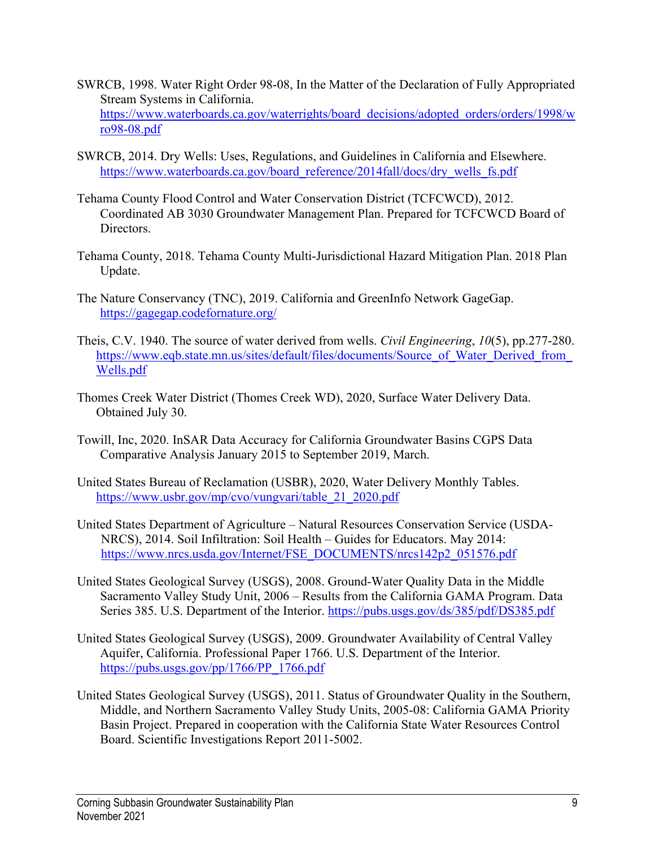- SWRCB, 1998. Water Right Order 98-08, In the Matter of the Declaration of Fully Appropriated Stream Systems in California. [https://www.waterboards.ca.gov/waterrights/board\\_decisions/adopted\\_orders/orders/1998/w](https://www.waterboards.ca.gov/waterrights/board_decisions/adopted_orders/orders/1998/wro98-08.pdf) [ro98-08.pdf](https://www.waterboards.ca.gov/waterrights/board_decisions/adopted_orders/orders/1998/wro98-08.pdf)
- SWRCB, 2014. Dry Wells: Uses, Regulations, and Guidelines in California and Elsewhere. [https://www.waterboards.ca.gov/board\\_reference/2014fall/docs/dry\\_wells\\_fs.pdf](https://www.waterboards.ca.gov/board_reference/2014fall/docs/dry_wells_fs.pdf)
- Tehama County Flood Control and Water Conservation District (TCFCWCD), 2012. Coordinated AB 3030 Groundwater Management Plan. Prepared for TCFCWCD Board of Directors.
- Tehama County, 2018. Tehama County Multi-Jurisdictional Hazard Mitigation Plan. 2018 Plan Update.
- The Nature Conservancy (TNC), 2019. California and GreenInfo Network GageGap. <https://gagegap.codefornature.org/>
- Theis, C.V. 1940. The source of water derived from wells. *Civil Engineering*, *10*(5), pp.277-280. [https://www.eqb.state.mn.us/sites/default/files/documents/Source\\_of\\_Water\\_Derived\\_from\\_](https://www.eqb.state.mn.us/sites/default/files/documents/Source_of_Water_Derived_from_Wells.pdf) [Wells.pdf](https://www.eqb.state.mn.us/sites/default/files/documents/Source_of_Water_Derived_from_Wells.pdf)
- Thomes Creek Water District (Thomes Creek WD), 2020, Surface Water Delivery Data. Obtained July 30.
- Towill, Inc, 2020. InSAR Data Accuracy for California Groundwater Basins CGPS Data Comparative Analysis January 2015 to September 2019, March.
- United States Bureau of Reclamation (USBR), 2020, Water Delivery Monthly Tables. [https://www.usbr.gov/mp/cvo/vungvari/table\\_21\\_2020.pdf](https://www.usbr.gov/mp/cvo/vungvari/table_21_2020.pdf)
- United States Department of Agriculture Natural Resources Conservation Service (USDA-NRCS), 2014. Soil Infiltration: Soil Health – Guides for Educators. May 2014: [https://www.nrcs.usda.gov/Internet/FSE\\_DOCUMENTS/nrcs142p2\\_051576.pdf](https://www.nrcs.usda.gov/Internet/FSE_DOCUMENTS/nrcs142p2_051576.pdf)
- United States Geological Survey (USGS), 2008. Ground-Water Quality Data in the Middle Sacramento Valley Study Unit, 2006 – Results from the California GAMA Program. Data Series 385. U.S. Department of the Interior.<https://pubs.usgs.gov/ds/385/pdf/DS385.pdf>
- United States Geological Survey (USGS), 2009. Groundwater Availability of Central Valley Aquifer, California. Professional Paper 1766. U.S. Department of the Interior. [https://pubs.usgs.gov/pp/1766/PP\\_1766.pdf](https://pubs.usgs.gov/pp/1766/PP_1766.pdf)
- United States Geological Survey (USGS), 2011. Status of Groundwater Quality in the Southern, Middle, and Northern Sacramento Valley Study Units, 2005-08: California GAMA Priority Basin Project. Prepared in cooperation with the California State Water Resources Control Board. Scientific Investigations Report 2011-5002.